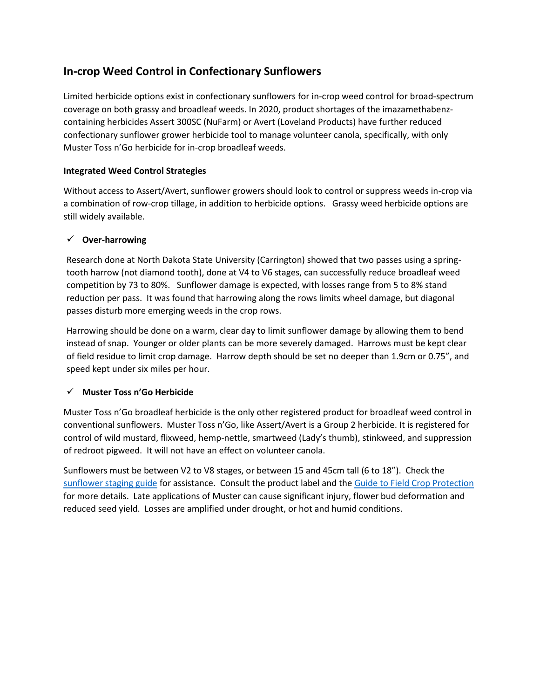# **In-crop Weed Control in Confectionary Sunflowers**

Limited herbicide options exist in confectionary sunflowers for in-crop weed control for broad-spectrum coverage on both grassy and broadleaf weeds. In 2020, product shortages of the imazamethabenzcontaining herbicides Assert 300SC (NuFarm) or Avert (Loveland Products) have further reduced confectionary sunflower grower herbicide tool to manage volunteer canola, specifically, with only Muster Toss n'Go herbicide for in-crop broadleaf weeds.

### **Integrated Weed Control Strategies**

Without access to Assert/Avert, sunflower growers should look to control or suppress weeds in-crop via a combination of row-crop tillage, in addition to herbicide options. Grassy weed herbicide options are still widely available.

## **Over-harrowing**

Research done at North Dakota State University (Carrington) showed that two passes using a springtooth harrow (not diamond tooth), done at V4 to V6 stages, can successfully reduce broadleaf weed competition by 73 to 80%. Sunflower damage is expected, with losses range from 5 to 8% stand reduction per pass. It was found that harrowing along the rows limits wheel damage, but diagonal passes disturb more emerging weeds in the crop rows.

Harrowing should be done on a warm, clear day to limit sunflower damage by allowing them to bend instead of snap. Younger or older plants can be more severely damaged. Harrows must be kept clear of field residue to limit crop damage. Harrow depth should be set no deeper than 1.9cm or 0.75", and speed kept under six miles per hour.

# **Muster Toss n'Go Herbicide**

Muster Toss n'Go broadleaf herbicide is the only other registered product for broadleaf weed control in conventional sunflowers. Muster Toss n'Go, like Assert/Avert is a Group 2 herbicide. It is registered for control of wild mustard, flixweed, hemp-nettle, smartweed (Lady's thumb), stinkweed, and suppression of redroot pigweed. It will not have an effect on volunteer canola.

Sunflowers must be between V2 to V8 stages, or between 15 and 45cm tall (6 to 18"). Check the [sunflower staging guide](http://www.canadasunflower.com/pdf/Stages%20of%20Development.pdf) for assistance. Consult the product label and the [Guide to Field Crop Protection](https://www.gov.mb.ca/agriculture/crops/guides-and-publications/pubs/guide-crop-protection-2020.pdf) for more details. Late applications of Muster can cause significant injury, flower bud deformation and reduced seed yield. Losses are amplified under drought, or hot and humid conditions.